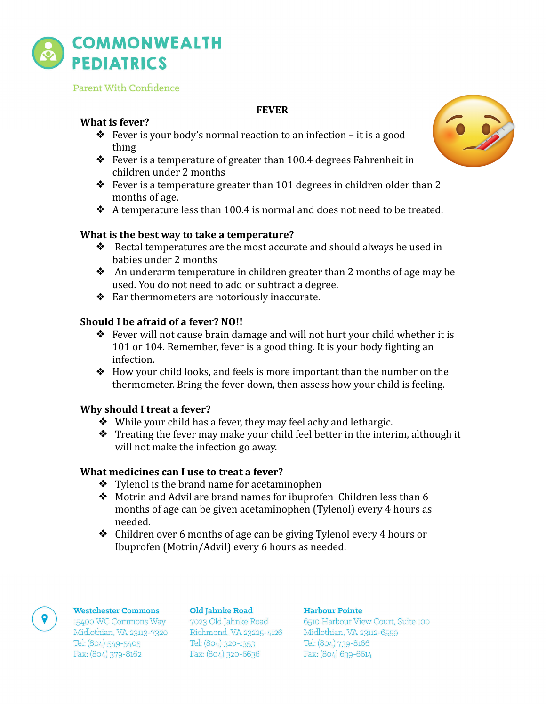

Parent With Confidence

# **FEVER**

# **What is fever?**

- $\bullet$  Fever is your body's normal reaction to an infection it is a good thing
- $\bullet$  Fever is a temperature of greater than 100.4 degrees Fahrenheit in children under 2 months
- $\bullet$  Fever is a temperature greater than 101 degrees in children older than 2 months of age.
- $\triangle$  A temperature less than 100.4 is normal and does not need to be treated.

# **What is the best way to take a temperature?**

- $\triangleleft$  Rectal temperatures are the most accurate and should always be used in babies under 2 months
- $\triangle$  An underarm temperature in children greater than 2 months of age may be used. You do not need to add or subtract a degree.
- $\triangleleft$  Ear thermometers are notoriously inaccurate.

# **Should I be afraid of a fever? NO!!**

- $\triangle$  Fever will not cause brain damage and will not hurt your child whether it is 101 or 104. Remember, fever is a good thing. It is your body fighting an infection.
- $\triangleleft$  How your child looks, and feels is more important than the number on the thermometer. Bring the fever down, then assess how your child is feeling.

## **Why should I treat a fever?**

- $\bullet$  While your child has a fever, they may feel achy and lethargic.
- $\triangleq$  Treating the fever may make your child feel better in the interim, although it will not make the infection go away.

## **What medicines can I use to treat a fever?**

- $\bullet$  Tylenol is the brand name for acetaminophen
- $\bullet$  Motrin and Advil are brand names for ibuprofen Children less than 6 months of age can be given acetaminophen (Tylenol) every 4 hours as needed.
- $\triangleleft$  Children over 6 months of age can be giving Tylenol every 4 hours or Ibuprofen (Motrin/Advil) every 6 hours as needed.



### Westchester Commons

15400 WC Commons Way Midlothian, VA 23113-7320 Tel: (804) 549-5405 Fax: (804) 379-8162

Old Jahnke Road

7023 Old Jahnke Road Richmond, VA 23225-4126 Tel: (804) 320-1353 Fax: (804) 320-6636

### Harbour Pointe

6510 Harbour View Court, Suite 100 Midlothian, VA 23112-6559 Tel: (804) 739-8166 Fax: (804) 639-6614